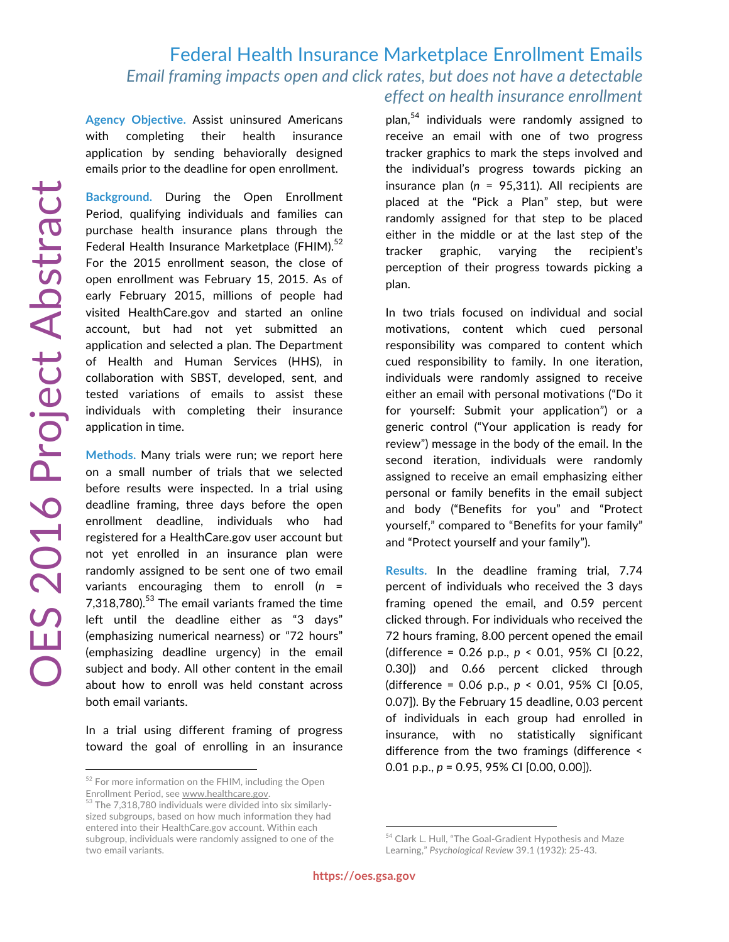## Federal Health Insurance Marketplace Enrollment Emails *Email framing impacts open and click rates, but does not have a detectable effect on health insurance enrollment*

**Agency Objective.** Assist uninsured Americans with completing their health insurance application by sending behaviorally designed emails prior to the deadline for open enrollment.

**Background.** During the Open Enrollment Period, qualifying individuals and families can purchase health insurance plans through the Federal Health Insurance Marketplace (FHIM). $52$ For the 2015 enrollment season, the close of open enrollment was February 15, 2015. As of early February 2015, millions of people had visited HealthCare.gov and started an online account, but had not yet submitted an application and selected a plan. The Department of Health and Human Services (HHS), in collaboration with SBST, developed, sent, and tested variations of emails to assist these individuals with completing their insurance application in time.

**Methods.** Many trials were run; we report here on a small number of trials that we selected before results were inspected. In a trial using deadline framing, three days before the open enrollment deadline, individuals who had registered for a HealthCare.gov user account but not yet enrolled in an insurance plan were randomly assigned to be sent one of two email variants encouraging them to enroll (*n* = 7,318,780).<sup>53</sup> The email variants framed the time left until the deadline either as "3 days" (emphasizing numerical nearness) or "72 hours" (emphasizing deadline urgency) in the email subject and body. All other content in the email about how to enroll was held constant across both email variants.

In a trial using different framing of progress toward the goal of enrolling in an insurance plan,<sup>54</sup> individuals were randomly assigned to receive an email with one of two progress tracker graphics to mark the steps involved and the individual's progress towards picking an insurance plan (*n* = 95,311). All recipients are placed at the "Pick a Plan" step, but were randomly assigned for that step to be placed either in the middle or at the last step of the tracker graphic, varying the recipient's perception of their progress towards picking a plan.

In two trials focused on individual and social motivations, content which cued personal responsibility was compared to content which cued responsibility to family. In one iteration, individuals were randomly assigned to receive either an email with personal motivations ("Do it for yourself: Submit your application") or a generic control ("Your application is ready for review") message in the body of the email. In the second iteration, individuals were randomly assigned to receive an email emphasizing either personal or family benefits in the email subject and body ("Benefits for you" and "Protect yourself," compared to "Benefits for your family" and "Protect yourself and your family").

**Results.** In the deadline framing trial, 7.74 percent of individuals who received the 3 days framing opened the email, and 0.59 percent clicked through. For individuals who received the 72 hours framing, 8.00 percent opened the email (difference = 0.26 p.p., *p* < 0.01, 95% CI [0.22, 0.30]) and 0.66 percent clicked through (difference = 0.06 p.p., *p* < 0.01, 95% CI [0.05, 0.07]). By the February 15 deadline, 0.03 percent of individuals in each group had enrolled in insurance, with no statistically significant difference from the two framings (difference < 0.01 p.p., *p* = 0.95, 95% CI [0.00, 0.00]).

<sup>&</sup>lt;sup>52</sup> For more information on the FHIM, including the Open Enrollment Period, see www.healthcare.gov.<br><sup>53</sup> The 7,318,780 individuals were divided into six similarly-

sized subgroups, based on how much information they had entered into their HealthCare.gov account. Within each subgroup, individuals were randomly assigned to one of the two email variants.

<sup>54</sup> Clark L. Hull, "The Goal-Gradient Hypothesis and Maze Learning," *Psychological Review* 39.1 (1932): 25-43.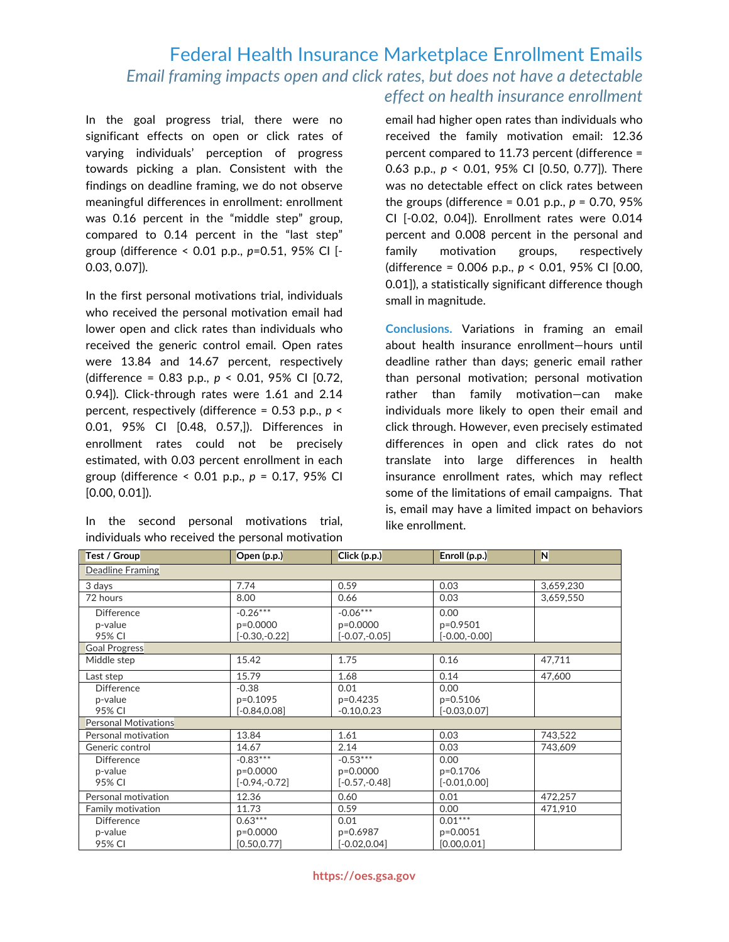## Federal Health Insurance Marketplace Enrollment Emails *Email framing impacts open and click rates, but does not have a detectable effect on health insurance enrollment*

In the goal progress trial, there were no significant effects on open or click rates of varying individuals' perception of progress towards picking a plan. Consistent with the findings on deadline framing, we do not observe meaningful differences in enrollment: enrollment was 0.16 percent in the "middle step" group, compared to 0.14 percent in the "last step" group (difference < 0.01 p.p., *p*=0.51, 95% CI [- 0.03, 0.07]).

In the first personal motivations trial, individuals who received the personal motivation email had lower open and click rates than individuals who received the generic control email. Open rates were 13.84 and 14.67 percent, respectively (difference = 0.83 p.p., *p* < 0.01, 95% CI [0.72, 0.94]). Click-through rates were 1.61 and 2.14 percent, respectively (difference = 0.53 p.p., *p* < 0.01, 95% CI [0.48, 0.57,]). Differences in enrollment rates could not be precisely estimated, with 0.03 percent enrollment in each group (difference < 0.01 p.p., *p* = 0.17, 95% CI [0.00, 0.01]).

|                                                  |  |  |  | In the second personal motivations trial, |  |  |  |  |
|--------------------------------------------------|--|--|--|-------------------------------------------|--|--|--|--|
| individuals who received the personal motivation |  |  |  |                                           |  |  |  |  |

email had higher open rates than individuals who received the family motivation email: 12.36 percent compared to 11.73 percent (difference = 0.63 p.p., *p* < 0.01, 95% CI [0.50, 0.77]). There was no detectable effect on click rates between the groups (difference =  $0.01$  p.p.,  $p = 0.70$ ,  $95\%$ CI [-0.02, 0.04]). Enrollment rates were 0.014 percent and 0.008 percent in the personal and family motivation groups, respectively (difference = 0.006 p.p., *p* < 0.01, 95% CI [0.00, 0.01]), a statistically significant difference though small in magnitude.

**Conclusions.** Variations in framing an email about health insurance enrollment—hours until deadline rather than days; generic email rather than personal motivation; personal motivation rather than family motivation—can make individuals more likely to open their email and click through. However, even precisely estimated differences in open and click rates do not translate into large differences in health insurance enrollment rates, which may reflect some of the limitations of email campaigns. That is, email may have a limited impact on behaviors like enrollment.

| Test / Group                | Open (p.p.)     | Click (p.p.)    | Enroll (p.p.)   | N         |  |  |  |  |
|-----------------------------|-----------------|-----------------|-----------------|-----------|--|--|--|--|
| Deadline Framing            |                 |                 |                 |           |  |  |  |  |
| 3 days                      | 7.74            | 0.59            | 0.03            | 3,659,230 |  |  |  |  |
| 72 hours                    | 8.00            | 0.66            | 0.03            | 3,659,550 |  |  |  |  |
| <b>Difference</b>           | $-0.26***$      | $-0.06***$      | 0.00            |           |  |  |  |  |
| p-value                     | p=0.0000        | p=0.0000        | p=0.9501        |           |  |  |  |  |
| 95% CI                      | $[-0.30,-0.22]$ | $[-0.07,-0.05]$ | $[-0.00,-0.00]$ |           |  |  |  |  |
| <b>Goal Progress</b>        |                 |                 |                 |           |  |  |  |  |
| Middle step                 | 15.42           | 1.75            | 0.16            | 47,711    |  |  |  |  |
| Last step                   | 15.79           | 1.68            | 0.14            | 47,600    |  |  |  |  |
| <b>Difference</b>           | $-0.38$         | 0.01            | 0.00            |           |  |  |  |  |
| p-value                     | p=0.1095        | p=0.4235        | p=0.5106        |           |  |  |  |  |
| 95% CI                      | $[-0.84, 0.08]$ | $-0.10, 0.23$   | $[-0.03, 0.07]$ |           |  |  |  |  |
| <b>Personal Motivations</b> |                 |                 |                 |           |  |  |  |  |
| Personal motivation         | 13.84           | 1.61            | 0.03            | 743,522   |  |  |  |  |
| Generic control             | 14.67           | 2.14            | 0.03            | 743,609   |  |  |  |  |
| <b>Difference</b>           | $-0.83***$      | $-0.53***$      | 0.00            |           |  |  |  |  |
| p-value                     | p=0.0000        | p=0.0000        | p=0.1706        |           |  |  |  |  |
| 95% CI                      | $[-0.94,-0.72]$ | $[-0.57,-0.48]$ | $[-0.01, 0.00]$ |           |  |  |  |  |
| Personal motivation         | 12.36           | 0.60            | 0.01            | 472.257   |  |  |  |  |
| Family motivation           | 11.73           | 0.59            | 0.00            | 471.910   |  |  |  |  |
| <b>Difference</b>           | $0.63***$       | 0.01            | $0.01***$       |           |  |  |  |  |
| p-value                     | p=0.0000        | p=0.6987        | p=0.0051        |           |  |  |  |  |
| 95% CI                      | [0.50, 0.77]    | $[-0.02, 0.04]$ | [0.00, 0.01]    |           |  |  |  |  |